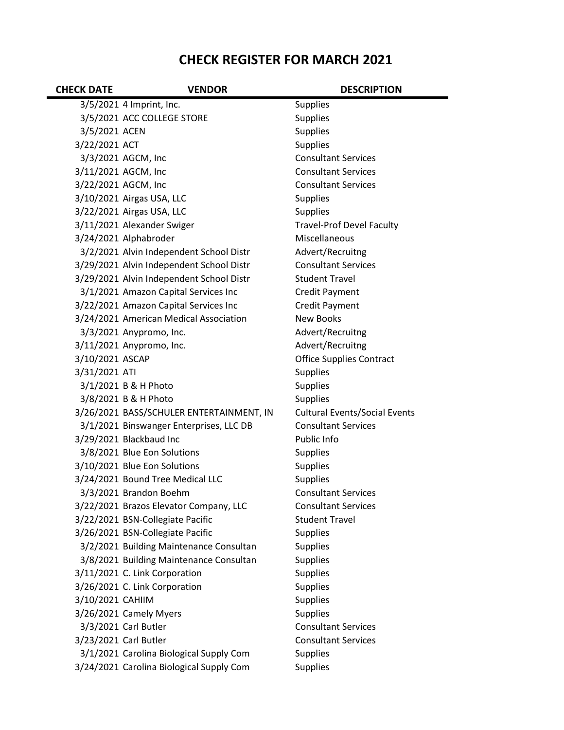## **CHECK REGISTER FOR MARCH 2021**

| <b>CHECK DATE</b> | <b>VENDOR</b>                            | <b>DESCRIPTION</b>                   |
|-------------------|------------------------------------------|--------------------------------------|
|                   | 3/5/2021 4 Imprint, Inc.                 | <b>Supplies</b>                      |
|                   | 3/5/2021 ACC COLLEGE STORE               | <b>Supplies</b>                      |
| 3/5/2021 ACEN     |                                          | <b>Supplies</b>                      |
| 3/22/2021 ACT     |                                          | <b>Supplies</b>                      |
|                   | 3/3/2021 AGCM, Inc                       | <b>Consultant Services</b>           |
|                   | 3/11/2021 AGCM, Inc                      | <b>Consultant Services</b>           |
|                   | 3/22/2021 AGCM, Inc                      | <b>Consultant Services</b>           |
|                   | 3/10/2021 Airgas USA, LLC                | <b>Supplies</b>                      |
|                   | 3/22/2021 Airgas USA, LLC                | <b>Supplies</b>                      |
|                   | 3/11/2021 Alexander Swiger               | <b>Travel-Prof Devel Faculty</b>     |
|                   | 3/24/2021 Alphabroder                    | Miscellaneous                        |
|                   | 3/2/2021 Alvin Independent School Distr  | Advert/Recruitng                     |
|                   | 3/29/2021 Alvin Independent School Distr | <b>Consultant Services</b>           |
|                   | 3/29/2021 Alvin Independent School Distr | <b>Student Travel</b>                |
|                   | 3/1/2021 Amazon Capital Services Inc     | <b>Credit Payment</b>                |
|                   | 3/22/2021 Amazon Capital Services Inc    | Credit Payment                       |
|                   | 3/24/2021 American Medical Association   | <b>New Books</b>                     |
|                   | 3/3/2021 Anypromo, Inc.                  | Advert/Recruitng                     |
|                   | 3/11/2021 Anypromo, Inc.                 | Advert/Recruitng                     |
| 3/10/2021 ASCAP   |                                          | <b>Office Supplies Contract</b>      |
| 3/31/2021 ATI     |                                          | <b>Supplies</b>                      |
|                   | 3/1/2021 B & H Photo                     | <b>Supplies</b>                      |
|                   | 3/8/2021 B & H Photo                     | <b>Supplies</b>                      |
|                   | 3/26/2021 BASS/SCHULER ENTERTAINMENT, IN | <b>Cultural Events/Social Events</b> |
|                   | 3/1/2021 Binswanger Enterprises, LLC DB  | <b>Consultant Services</b>           |
|                   | 3/29/2021 Blackbaud Inc                  | Public Info                          |
|                   | 3/8/2021 Blue Eon Solutions              | <b>Supplies</b>                      |
|                   | 3/10/2021 Blue Eon Solutions             | <b>Supplies</b>                      |
|                   | 3/24/2021 Bound Tree Medical LLC         | <b>Supplies</b>                      |
|                   | 3/3/2021 Brandon Boehm                   | <b>Consultant Services</b>           |
|                   | 3/22/2021 Brazos Elevator Company, LLC   | <b>Consultant Services</b>           |
|                   | 3/22/2021 BSN-Collegiate Pacific         | <b>Student Travel</b>                |
|                   | 3/26/2021 BSN-Collegiate Pacific         | <b>Supplies</b>                      |
|                   | 3/2/2021 Building Maintenance Consultan  | <b>Supplies</b>                      |
|                   | 3/8/2021 Building Maintenance Consultan  | <b>Supplies</b>                      |
|                   | 3/11/2021 C. Link Corporation            | <b>Supplies</b>                      |
|                   | 3/26/2021 C. Link Corporation            | <b>Supplies</b>                      |
| 3/10/2021 CAHIIM  |                                          | <b>Supplies</b>                      |
|                   | 3/26/2021 Camely Myers                   | <b>Supplies</b>                      |
|                   | 3/3/2021 Carl Butler                     | <b>Consultant Services</b>           |
|                   | 3/23/2021 Carl Butler                    | <b>Consultant Services</b>           |
|                   | 3/1/2021 Carolina Biological Supply Com  | <b>Supplies</b>                      |
|                   | 3/24/2021 Carolina Biological Supply Com | <b>Supplies</b>                      |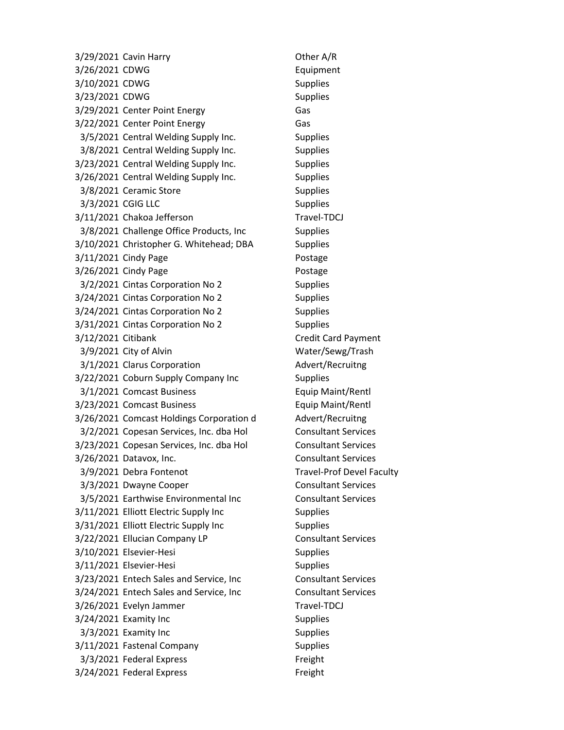3/29/2021 Cavin Harry Charles Communication Communication Communication Communication Communication Communication Communication Communication Communication Communication Communication Communication Communication Communicat 3/26/2021 CDWG Equipment 3/10/2021 CDWG Supplies 3/23/2021 CDWG Supplies 3/29/2021 Center Point Energy Gas 3/22/2021 Center Point Energy Gas 3/5/2021 Central Welding Supply Inc. Supplies 3/8/2021 Central Welding Supply Inc. Supplies 3/23/2021 Central Welding Supply Inc. Supplies 3/26/2021 Central Welding Supply Inc. Supplies 3/8/2021 Ceramic Store Supplies 3/3/2021 CGIG LLC Supplies 3/11/2021 Chakoa Jefferson Travel-TDCJ 3/8/2021 Challenge Office Products, Inc Supplies 3/10/2021 Christopher G. Whitehead; DBA Supplies 3/11/2021 Cindy Page Postage 3/26/2021 Cindy Page Postage 3/2/2021 Cintas Corporation No 2 Supplies 3/24/2021 Cintas Corporation No 2 Supplies 3/24/2021 Cintas Corporation No 2 Supplies 3/31/2021 Cintas Corporation No 2 Supplies 3/12/2021 Citibank Credit Card Payment 3/9/2021 City of Alvin Water/Sewg/Trash 3/1/2021 Clarus Corporation Advert/Recruitng 3/22/2021 Coburn Supply Company Inc Supplies 3/1/2021 Comcast Business Equip Maint/Rentl 3/23/2021 Comcast Business Equip Maint/Rentl 3/26/2021 Comcast Holdings Corporation d Advert/Recruitng 3/2/2021 Copesan Services, Inc. dba Hol Consultant Services 3/23/2021 Copesan Services, Inc. dba Hol Consultant Services 3/26/2021 Datavox, Inc. Consultant Services 3/9/2021 Debra Fontenot Travel-Prof Devel Faculty 3/3/2021 Dwayne Cooper Consultant Services 3/5/2021 Earthwise Environmental Inc Consultant Services 3/11/2021 Elliott Electric Supply Inc Supplies 3/31/2021 Elliott Electric Supply Inc Supplies 3/22/2021 Ellucian Company LP Consultant Services 3/10/2021 Elsevier-Hesi Supplies 3/11/2021 Elsevier-Hesi Supplies 3/23/2021 Entech Sales and Service, Inc Consultant Services 3/24/2021 Entech Sales and Service, Inc Consultant Services 3/26/2021 Evelyn Jammer Travel-TDCJ 3/24/2021 Examity Inc Supplies 3/3/2021 Examity Inc Supplies 3/11/2021 Fastenal Company Supplies 3/3/2021 Federal Express Freight 3/24/2021 Federal Express Freight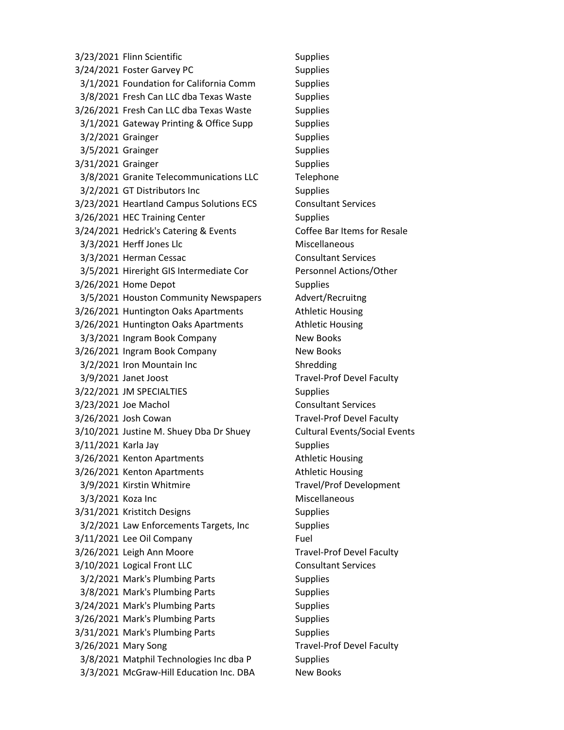3/23/2021 Flinn Scientific Supplies 3/24/2021 Foster Garvey PC Supplies 3/1/2021 Foundation for California Comm Supplies 3/8/2021 Fresh Can LLC dba Texas Waste Supplies 3/26/2021 Fresh Can LLC dba Texas Waste Supplies 3/1/2021 Gateway Printing & Office Supp Supplies 3/2/2021 Grainger Supplies 3/5/2021 Grainger Supplies 3/31/2021 Grainger Supplies 3/8/2021 Granite Telecommunications LLC Telephone 3/2/2021 GT Distributors Inc Supplies 3/23/2021 Heartland Campus Solutions ECS Consultant Services 3/26/2021 HEC Training Center Supplies 3/24/2021 Hedrick's Catering & Events Coffee Bar Items for Resale 3/3/2021 Herff Jones Llc Miscellaneous 3/3/2021 Herman Cessac Consultant Services 3/5/2021 Hireright GIS Intermediate Cor Personnel Actions/Other 3/26/2021 Home Depot Supplies 3/5/2021 Houston Community Newspapers Advert/Recruitng 3/26/2021 Huntington Oaks Apartments Athletic Housing 3/26/2021 Huntington Oaks Apartments Athletic Housing 3/3/2021 Ingram Book Company New Books 3/26/2021 Ingram Book Company New Books 3/2/2021 Iron Mountain Inc Shredding 3/9/2021 Janet Joost Travel-Prof Devel Faculty 3/22/2021 JM SPECIALTIES Supplies 3/23/2021 Joe Machol Consultant Services 3/26/2021 Josh Cowan Travel-Prof Devel Faculty 3/10/2021 Justine M. Shuey Dba Dr Shuey Cultural Events/Social Events 3/11/2021 Karla Jay Supplies 3/26/2021 Kenton Apartments Athletic Housing 3/26/2021 Kenton Apartments Athletic Housing 3/9/2021 Kirstin Whitmire Travel/Prof Development 3/3/2021 Koza Inc **Miscellaneous** 3/31/2021 Kristitch Designs Supplies 3/2/2021 Law Enforcements Targets, Inc Supplies 3/11/2021 Lee Oil Company Fuel 3/26/2021 Leigh Ann Moore Travel-Prof Devel Faculty 3/10/2021 Logical Front LLC Consultant Services 3/2/2021 Mark's Plumbing Parts Supplies 3/8/2021 Mark's Plumbing Parts Supplies 3/24/2021 Mark's Plumbing Parts Supplies 3/26/2021 Mark's Plumbing Parts Supplies 3/31/2021 Mark's Plumbing Parts Supplies 3/26/2021 Mary Song Travel-Prof Devel Faculty 3/8/2021 Matphil Technologies Inc dba P Supplies 3/3/2021 McGraw-Hill Education Inc. DBA New Books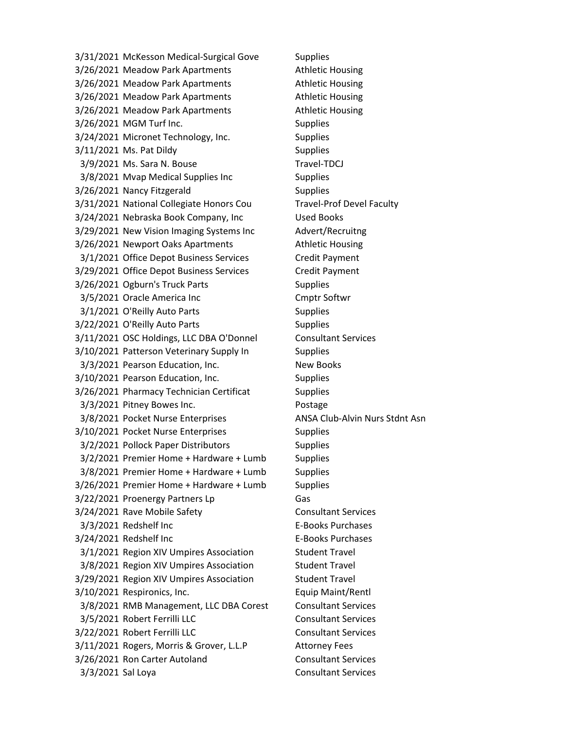3/31/2021 McKesson Medical-Surgical Gove Supplies 3/26/2021 Meadow Park Apartments **Athletic Housing** 3/26/2021 Meadow Park Apartments **Athletic Housing** 3/26/2021 Meadow Park Apartments **Athletic Housing** 3/26/2021 Meadow Park Apartments Athletic Housing 3/26/2021 MGM Turf Inc. Supplies 3/24/2021 Micronet Technology, Inc. Supplies 3/11/2021 Ms. Pat Dildy Supplies 3/9/2021 Ms. Sara N. Bouse Travel-TDCJ 3/8/2021 Mvap Medical Supplies Inc Supplies 3/26/2021 Nancy Fitzgerald Supplies 3/31/2021 National Collegiate Honors Cou Travel-Prof Devel Faculty 3/24/2021 Nebraska Book Company, Inc Used Books 3/29/2021 New Vision Imaging Systems Inc Advert/Recruitng 3/26/2021 Newport Oaks Apartments Athletic Housing 3/1/2021 Office Depot Business Services Credit Payment 3/29/2021 Office Depot Business Services Credit Payment 3/26/2021 Ogburn's Truck Parts Supplies 3/5/2021 Oracle America Inc Cmptr Softwr 3/1/2021 O'Reilly Auto Parts Supplies 3/22/2021 O'Reilly Auto Parts Supplies 3/11/2021 OSC Holdings, LLC DBA O'Donnel Consultant Services 3/10/2021 Patterson Veterinary Supply In Supplies 3/3/2021 Pearson Education, Inc. New Books 3/10/2021 Pearson Education, Inc. Supplies 3/26/2021 Pharmacy Technician Certificat Supplies 3/3/2021 Pitney Bowes Inc. Postage 3/8/2021 Pocket Nurse Enterprises ANSA Club-Alvin Nurs Stdnt Asn 3/10/2021 Pocket Nurse Enterprises Supplies 3/2/2021 Pollock Paper Distributors Supplies 3/2/2021 Premier Home + Hardware + Lumb Supplies 3/8/2021 Premier Home + Hardware + Lumb Supplies 3/26/2021 Premier Home + Hardware + Lumb Supplies 3/22/2021 Proenergy Partners Lp Gas 3/24/2021 Rave Mobile Safety Consultant Services 3/3/2021 Redshelf Inc E-Books Purchases 3/24/2021 Redshelf Inc E-Books Purchases 3/1/2021 Region XIV Umpires Association Student Travel 3/8/2021 Region XIV Umpires Association Student Travel 3/29/2021 Region XIV Umpires Association Student Travel 3/10/2021 Respironics, Inc. Equip Maint/Rentl 3/8/2021 RMB Management, LLC DBA Corest Consultant Services 3/5/2021 Robert Ferrilli LLC Consultant Services 3/22/2021 Robert Ferrilli LLC Consultant Services 3/11/2021 Rogers, Morris & Grover, L.L.P Attorney Fees 3/26/2021 Ron Carter Autoland Consultant Services 3/3/2021 Sal Loya Consultant Services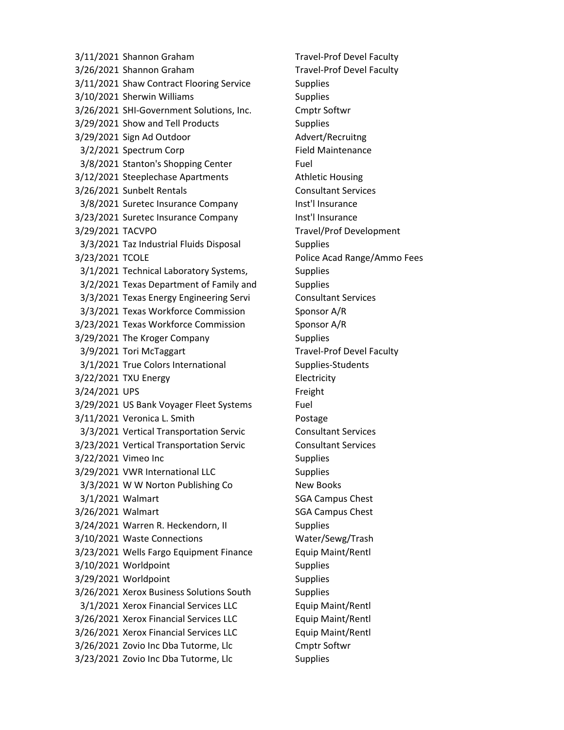3/11/2021 Shannon Graham Travel-Prof Devel Faculty 3/26/2021 Shannon Graham Travel-Prof Devel Faculty 3/11/2021 Shaw Contract Flooring Service Supplies 3/10/2021 Sherwin Williams Supplies 3/26/2021 SHI-Government Solutions, Inc. Cmptr Softwr 3/29/2021 Show and Tell Products Supplies 3/29/2021 Sign Ad Outdoor Advert/Recruitng 3/2/2021 Spectrum Corp Field Maintenance 3/8/2021 Stanton's Shopping Center Fuel 3/12/2021 Steeplechase Apartments **Athletic Housing** 3/26/2021 Sunbelt Rentals Consultant Services 3/8/2021 Suretec Insurance Company Inst'l Insurance 3/23/2021 Suretec Insurance Company Inst'l Insurance 3/29/2021 TACVPO Travel/Prof Development 3/3/2021 Taz Industrial Fluids Disposal Supplies 3/23/2021 TCOLE Police Acad Range/Ammo Fees 3/1/2021 Technical Laboratory Systems, Supplies 3/2/2021 Texas Department of Family and Supplies 3/3/2021 Texas Energy Engineering Servi Consultant Services 3/3/2021 Texas Workforce Commission Sponsor A/R 3/23/2021 Texas Workforce Commission Sponsor A/R 3/29/2021 The Kroger Company Supplies 3/9/2021 Tori McTaggart Travel-Prof Devel Faculty 3/1/2021 True Colors International Supplies-Students 3/22/2021 TXU Energy Electricity 3/24/2021 UPS Freight 3/29/2021 US Bank Voyager Fleet Systems Fuel 3/11/2021 Veronica L. Smith **Postage** 3/3/2021 Vertical Transportation Servic Consultant Services 3/23/2021 Vertical Transportation Servic Consultant Services 3/22/2021 Vimeo Inc Supplies 3/29/2021 VWR International LLC Supplies 3/3/2021 W W Norton Publishing Co New Books 3/1/2021 Walmart SGA Campus Chest 3/26/2021 Walmart SGA Campus Chest 3/24/2021 Warren R. Heckendorn, II Supplies 3/10/2021 Waste Connections Water/Sewg/Trash 3/23/2021 Wells Fargo Equipment Finance Equip Maint/Rentl 3/10/2021 Worldpoint Supplies 3/29/2021 Worldpoint Supplies 3/26/2021 Xerox Business Solutions South Supplies 3/1/2021 Xerox Financial Services LLC Equip Maint/Rentl 3/26/2021 Xerox Financial Services LLC Equip Maint/Rentl 3/26/2021 Xerox Financial Services LLC Equip Maint/Rentl 3/26/2021 Zovio Inc Dba Tutorme, Llc Cmptr Softwr 3/23/2021 Zovio Inc Dba Tutorme, Llc Supplies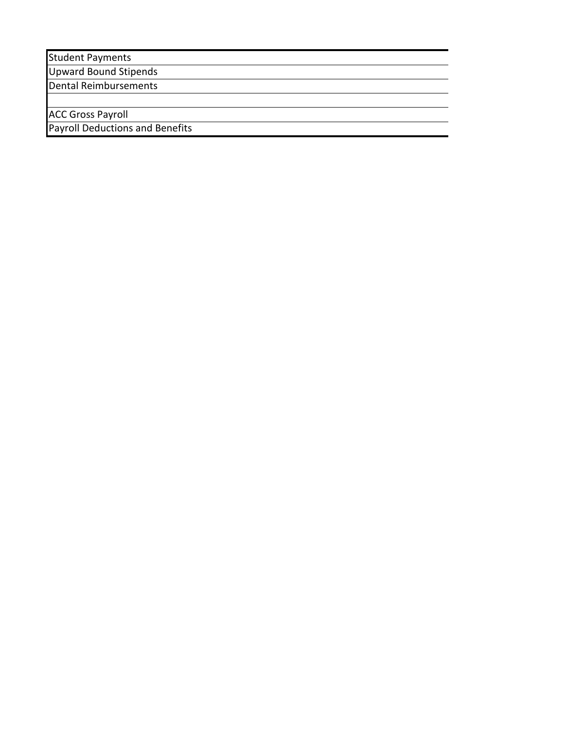Student Payments

Upward Bound Stipends

Dental Reimbursements

ACC Gross Payroll

Payroll Deductions and Benefits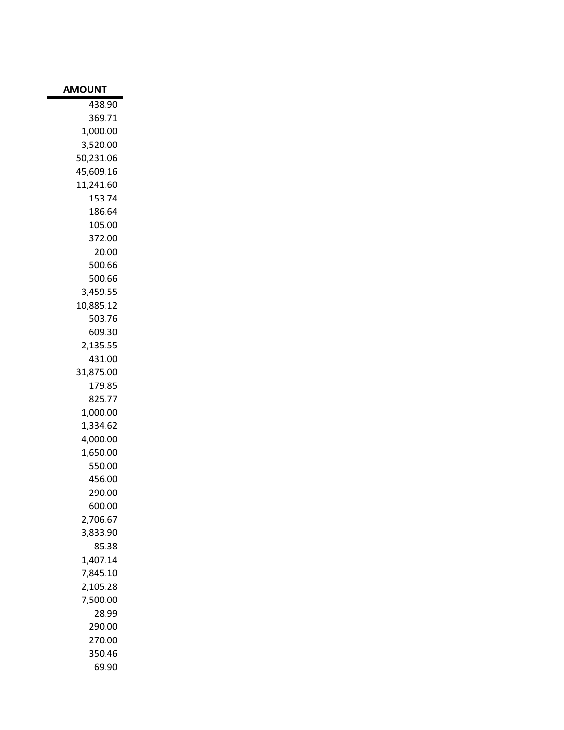| <b>AMOUNT</b>        |
|----------------------|
| 438.90               |
| 369.71               |
| 1,000.00             |
| 3,520.00             |
| 50,231.06            |
| 45,609.16            |
| 11,241.60            |
| 153.74               |
| 186.64               |
| 105.00               |
| 372.00               |
| 20.00                |
| 500.66               |
| 500.66               |
| 3,459.55             |
| 10,885.12            |
| 503.76               |
| 609.30               |
| 2,135.55             |
| 431.00               |
| 31,875.00            |
| 179.85               |
| 825.77               |
| 1,000.00             |
| 1,334.62             |
| 4,000.00             |
| 1,650.00             |
| 550.00               |
| 456.00               |
| 290.00               |
| 600.00               |
| 2,706.67             |
| 3,833.90             |
| 85.38                |
| 1,407.14<br>7,845.10 |
|                      |
| 2,105.28<br>7,500.00 |
| 28.99                |
| 290.00               |
| 270.00               |
| 350.46               |
| 69.90                |
|                      |

m.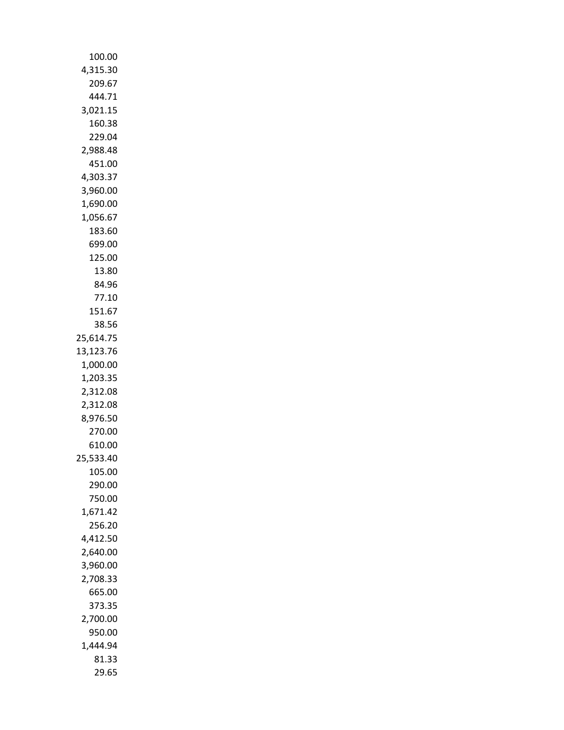| 100.00             |
|--------------------|
| 4,315.30           |
| 209.67             |
| 444.71             |
| 3,021.15           |
| 160.38             |
| 229.04             |
| 2,988.48           |
| 451.00             |
| 4,303.37           |
| 3,960.00           |
| 1,690.00           |
| 1,056.67           |
| 183.60             |
| 699.00             |
| 125.00             |
| 13.80              |
| 84.96              |
| 77.10              |
| 151.67             |
| 38.56              |
| 25,614.75          |
| 13,123.76          |
| 1,000.00           |
| 1,203.35           |
| 2,312.08           |
| 2,312.08           |
| 8,976.50           |
| 270.00             |
| 610.00             |
| 533.40<br>25,      |
| 105.00             |
| 290.00             |
| 750.00<br>1,671.42 |
|                    |
| 256.20<br>4.412.50 |
| 2,640.00           |
| 3,960.00           |
| 2,708.33           |
| 665.00             |
| 373.35             |
| 2,700.00           |
| 950.00             |
| 1,444.94           |
| 81.33              |
| 29.65              |
|                    |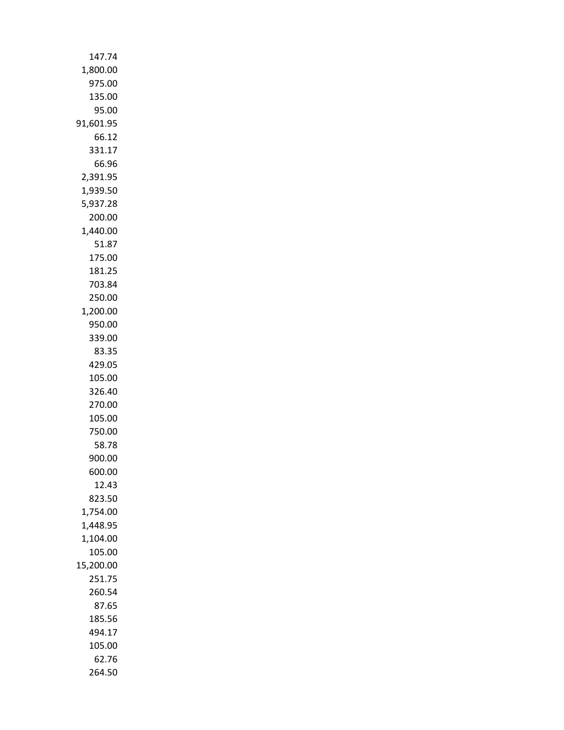| 147.74               |
|----------------------|
| 1,800.00             |
| 975.00               |
| 135.00               |
| 95.00                |
| 91,601.95            |
| 66.12                |
| 331.17               |
| 66.96                |
| 2,391.95             |
| 1,939.50             |
| 5,937.28             |
| 200.00               |
| 1,440.00             |
| 51.87                |
| 175.00               |
| 181.25               |
| 703.84               |
| 250.00               |
| 1,200.00             |
| 950.00               |
| 339.00               |
| 83.35                |
| 429.05               |
| 105.00               |
| 326.40               |
| 270.00               |
| 105.00               |
| 750.00               |
| 58.78                |
| 900.00               |
| 600.00               |
| 12.43                |
| 823.50               |
| 1,754.00<br>1,448.95 |
| 1,104.00             |
| 105.00               |
| 15,200.00            |
| 251.75               |
| 260.54               |
| 87.65                |
| 185.56               |
| 494.17               |
| 105.00               |
| 62.76                |
| 264.50               |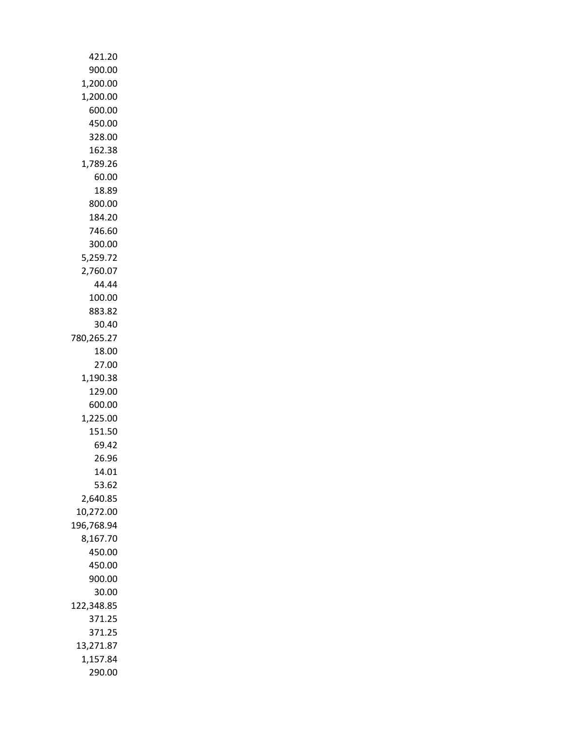| 421.20             |
|--------------------|
| 900.00             |
| 1,200.00           |
| 1,200.00           |
| 600.00             |
| 450.00             |
| 328.00             |
| 162.38             |
| 1,789.26           |
| 60.00              |
| 18.89              |
| 800.00             |
| 184.20             |
| 746.60             |
| 300.00             |
| 5,259.72           |
| 2,760.07           |
| 44.44              |
| 100.00             |
| 883.82             |
| 30.40              |
| 780,265.27         |
| 18.00              |
| 27.00              |
| 1,190.38           |
| 129.00             |
| 600.00<br>1,225.00 |
| 151.50             |
| 69.42              |
| 26.96              |
| 14.01              |
| 53.62              |
| 2,640.85           |
| 10,272.00          |
| 196,768.94         |
| 8,167.70           |
| 450.00             |
| 450.00             |
| 900.00             |
| 30.00              |
| 122,348.85         |
| 371.25             |
| 371.25             |
| 13,271.87          |
| 1,157.84           |
| 290.00             |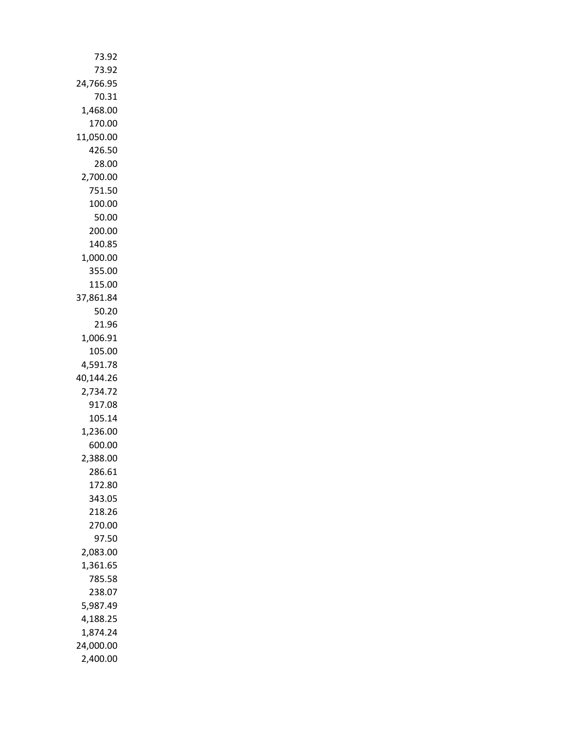| 73.92               |
|---------------------|
| 73.92               |
| 24,766.95           |
| 70.31               |
| 1,468.00            |
| 170.00              |
| 11,050.00           |
| 426.50              |
| 28.00               |
| 2,700.00            |
| 751.50              |
| 100.00              |
| 50.00               |
| 200.00              |
| 140.85              |
| 1,000.00            |
| 355.00              |
| 115.00<br>37,861.84 |
| 50.20               |
| 21.96               |
| 1,006.91            |
| 105.00              |
| 4,591.78            |
| 40,144.26           |
| 2,734.72            |
| 917.08              |
| 105.14              |
| 1,236.00            |
| 600.00              |
| 2,388.00            |
| 286.61              |
| 172.80              |
| 343.05              |
| 218.26              |
| 270.00              |
| 97.50               |
| 2,083.00            |
| 1,361.65            |
| 785.58              |
| 238.07              |
| 5,987.49            |
| 4,188.25            |
| 1,874.24            |
| 24,000.00           |
| 2,400.00            |